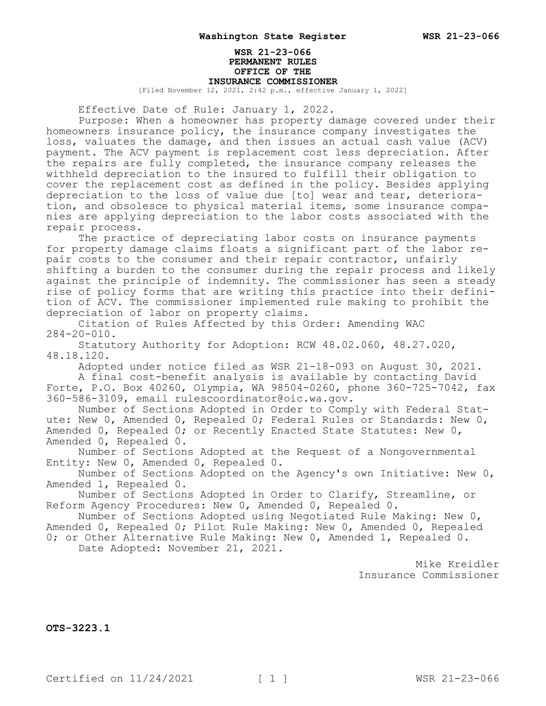## **WSR 21-23-066 PERMANENT RULES OFFICE OF THE INSURANCE COMMISSIONER** [Filed November 12, 2021, 2:42 p.m., effective January 1, 2022]

Effective Date of Rule: January 1, 2022.

Purpose: When a homeowner has property damage covered under their homeowners insurance policy, the insurance company investigates the loss, valuates the damage, and then issues an actual cash value (ACV) payment. The ACV payment is replacement cost less depreciation. After the repairs are fully completed, the insurance company releases the withheld depreciation to the insured to fulfill their obligation to cover the replacement cost as defined in the policy. Besides applying depreciation to the loss of value due [to] wear and tear, deterioration, and obsolesce to physical material items, some insurance companies are applying depreciation to the labor costs associated with the repair process.

The practice of depreciating labor costs on insurance payments for property damage claims floats a significant part of the labor repair costs to the consumer and their repair contractor, unfairly shifting a burden to the consumer during the repair process and likely against the principle of indemnity. The commissioner has seen a steady rise of policy forms that are writing this practice into their definition of ACV. The commissioner implemented rule making to prohibit the depreciation of labor on property claims.

Citation of Rules Affected by this Order: Amending WAC 284-20-010.

Statutory Authority for Adoption: RCW 48.02.060, 48.27.020, 48.18.120.

Adopted under notice filed as WSR 21-18-093 on August 30, 2021.

A final cost-benefit analysis is available by contacting David Forte, P.O. Box 40260, Olympia, WA 98504-0260, phone 360-725-7042, fax 360-586-3109, email rulescoordinator@oic.wa.gov.

Number of Sections Adopted in Order to Comply with Federal Statute: New 0, Amended 0, Repealed 0; Federal Rules or Standards: New 0, Amended 0, Repealed 0; or Recently Enacted State Statutes: New 0, Amended 0, Repealed 0.

Number of Sections Adopted at the Request of a Nongovernmental Entity: New 0, Amended 0, Repealed 0.

Number of Sections Adopted on the Agency's own Initiative: New 0, Amended 1, Repealed 0.

Number of Sections Adopted in Order to Clarify, Streamline, or Reform Agency Procedures: New 0, Amended 0, Repealed 0.

Number of Sections Adopted using Negotiated Rule Making: New 0, Amended 0, Repealed 0; Pilot Rule Making: New 0, Amended 0, Repealed

0; or Other Alternative Rule Making: New 0, Amended 1, Repealed 0. Date Adopted: November 21, 2021.

> Mike Kreidler Insurance Commissioner

**OTS-3223.1**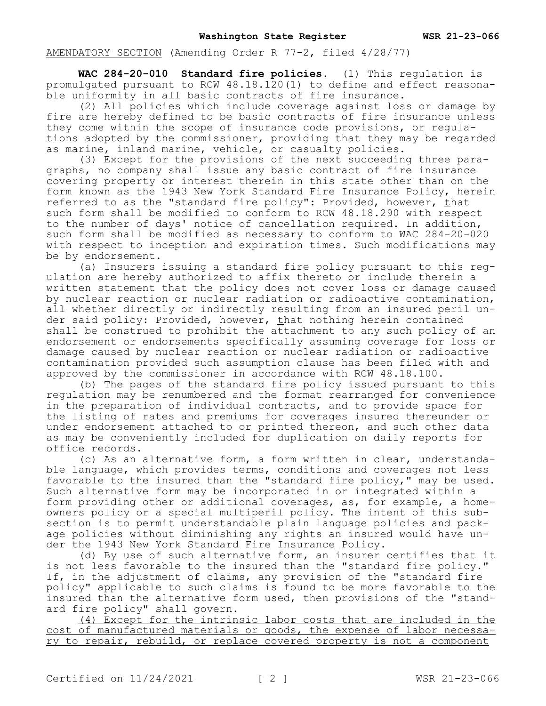AMENDATORY SECTION (Amending Order R 77-2, filed 4/28/77)

**WAC 284-20-010 Standard fire policies.** (1) This regulation is promulgated pursuant to RCW 48.18.120(1) to define and effect reasonable uniformity in all basic contracts of fire insurance.

(2) All policies which include coverage against loss or damage by fire are hereby defined to be basic contracts of fire insurance unless they come within the scope of insurance code provisions, or regulations adopted by the commissioner, providing that they may be regarded as marine, inland marine, vehicle, or casualty policies.

(3) Except for the provisions of the next succeeding three paragraphs, no company shall issue any basic contract of fire insurance covering property or interest therein in this state other than on the form known as the 1943 New York Standard Fire Insurance Policy, herein referred to as the "standard fire policy": Provided, however, that such form shall be modified to conform to RCW 48.18.290 with respect to the number of days' notice of cancellation required. In addition, such form shall be modified as necessary to conform to WAC 284-20-020 with respect to inception and expiration times. Such modifications may be by endorsement.

(a) Insurers issuing a standard fire policy pursuant to this regulation are hereby authorized to affix thereto or include therein a written statement that the policy does not cover loss or damage caused by nuclear reaction or nuclear radiation or radioactive contamination, all whether directly or indirectly resulting from an insured peril under said policy: Provided, however, that nothing herein contained shall be construed to prohibit the attachment to any such policy of an endorsement or endorsements specifically assuming coverage for loss or damage caused by nuclear reaction or nuclear radiation or radioactive contamination provided such assumption clause has been filed with and approved by the commissioner in accordance with RCW 48.18.100.

(b) The pages of the standard fire policy issued pursuant to this regulation may be renumbered and the format rearranged for convenience in the preparation of individual contracts, and to provide space for the listing of rates and premiums for coverages insured thereunder or under endorsement attached to or printed thereon, and such other data as may be conveniently included for duplication on daily reports for office records.

(c) As an alternative form, a form written in clear, understandable language, which provides terms, conditions and coverages not less favorable to the insured than the "standard fire policy," may be used. Such alternative form may be incorporated in or integrated within a form providing other or additional coverages, as, for example, a homeowners policy or a special multiperil policy. The intent of this subsection is to permit understandable plain language policies and package policies without diminishing any rights an insured would have under the 1943 New York Standard Fire Insurance Policy.

(d) By use of such alternative form, an insurer certifies that it is not less favorable to the insured than the "standard fire policy." If, in the adjustment of claims, any provision of the "standard fire policy" applicable to such claims is found to be more favorable to the insured than the alternative form used, then provisions of the "standard fire policy" shall govern.

(4) Except for the intrinsic labor costs that are included in the cost of manufactured materials or goods, the expense of labor necessary to repair, rebuild, or replace covered property is not a component